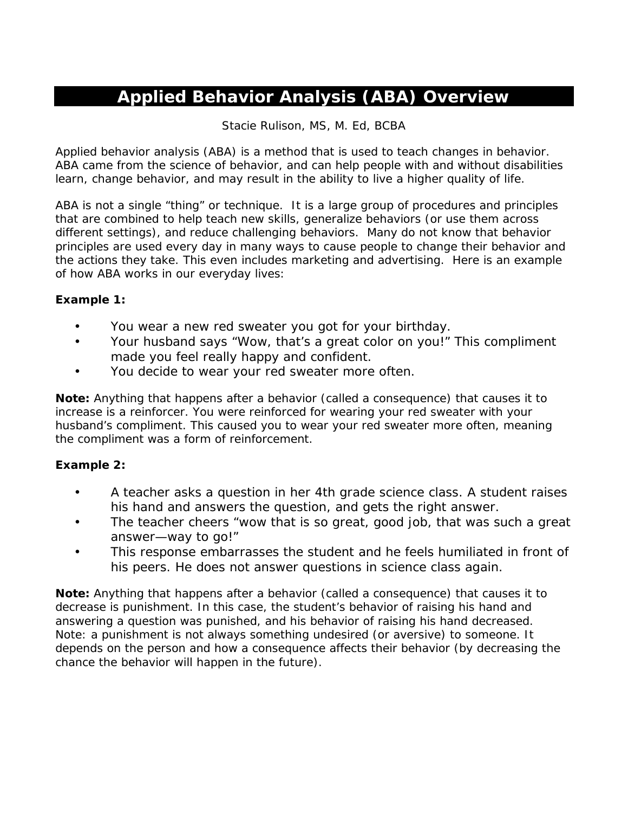# **Applied Behavior Analysis (ABA) Overview**

#### Stacie Rulison, MS, M. Ed, BCBA

Applied behavior analysis (ABA) is a method that is used to teach changes in behavior. ABA came from the science of behavior, and can help people with and without disabilities learn, change behavior, and may result in the ability to live a higher quality of life.

ABA is not a single "thing" or technique. It is a large group of procedures and principles that are combined to help teach new skills, generalize behaviors (or use them across different settings), and reduce challenging behaviors. Many do not know that behavior principles are used every day in many ways to cause people to change their behavior and the actions they take. This even includes marketing and advertising. Here is an example of how ABA works in our everyday lives:

#### **Example 1:**

- You wear a new red sweater you got for your birthday.
- Your husband says "Wow, that's a great color on you!" This compliment made you feel really happy and confident.
- You decide to wear your red sweater more often.

**Note:** Anything that happens after a behavior (called a consequence) that causes it to increase is a reinforcer. You were reinforced for wearing your red sweater with your husband's compliment. This caused you to wear your red sweater more often, meaning the compliment was a form of reinforcement.

#### **Example 2:**

- A teacher asks a question in her 4th grade science class. A student raises his hand and answers the question, and gets the right answer.
- The teacher cheers "wow that is so great, good job, that was such a great answer—way to go!"
- This response embarrasses the student and he feels humiliated in front of his peers. He does not answer questions in science class again.

**Note:** Anything that happens after a behavior (called a consequence) that causes it to decrease is punishment. In this case, the student's behavior of raising his hand and answering a question was punished, and his behavior of raising his hand decreased. Note: a punishment is not always something undesired (or aversive) to someone. It depends on the person and how a consequence affects their behavior (by decreasing the chance the behavior will happen in the future).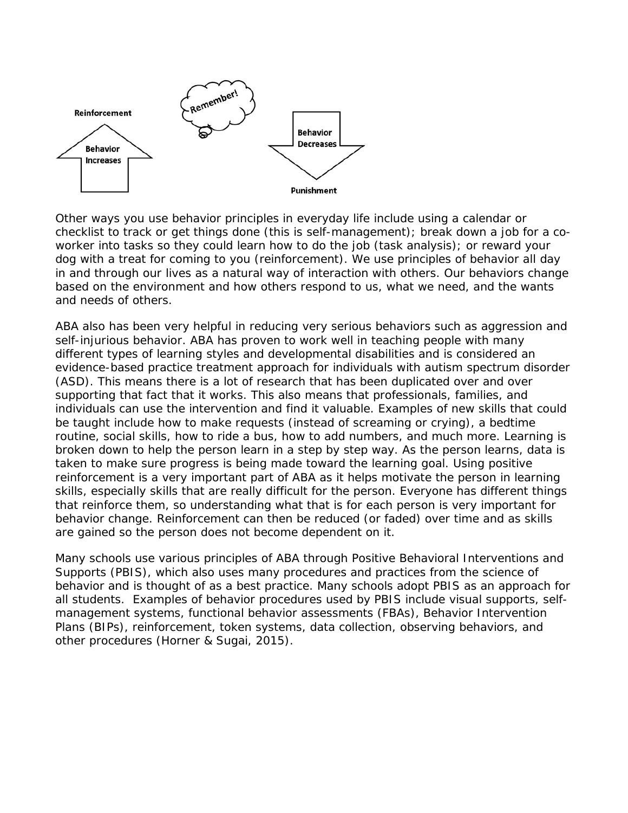

Other ways you use behavior principles in everyday life include using a calendar or checklist to track or get things done (this is self-management); break down a job for a coworker into tasks so they could learn how to do the job (task analysis); or reward your dog with a treat for coming to you (reinforcement). We use principles of behavior all day in and through our lives as a natural way of interaction with others. Our behaviors change based on the environment and how others respond to us, what we need, and the wants and needs of others.

ABA also has been very helpful in reducing very serious behaviors such as aggression and self-injurious behavior. ABA has proven to work well in teaching people with many different types of learning styles and developmental disabilities and is considered an evidence-based practice treatment approach for individuals with autism spectrum disorder (ASD). This means there is a lot of research that has been duplicated over and over supporting that fact that it works. This also means that professionals, families, and individuals can use the intervention and find it valuable. Examples of new skills that could be taught include how to make requests (instead of screaming or crying), a bedtime routine, social skills, how to ride a bus, how to add numbers, and much more. Learning is broken down to help the person learn in a step by step way. As the person learns, data is taken to make sure progress is being made toward the learning goal. Using positive reinforcement is a very important part of ABA as it helps motivate the person in learning skills, especially skills that are really difficult for the person. Everyone has different things that reinforce them, so understanding what that is for each person is very important for behavior change. Reinforcement can then be reduced (or faded) over time and as skills are gained so the person does not become dependent on it.

Many schools use various principles of ABA through Positive Behavioral Interventions and Supports (PBIS), which also uses many procedures and practices from the science of behavior and is thought of as a best practice. Many schools adopt PBIS as an approach for all students. Examples of behavior procedures used by PBIS include visual supports, selfmanagement systems, functional behavior assessments (FBAs), Behavior Intervention Plans (BIPs), reinforcement, token systems, data collection, observing behaviors, and other procedures (Horner & Sugai, 2015).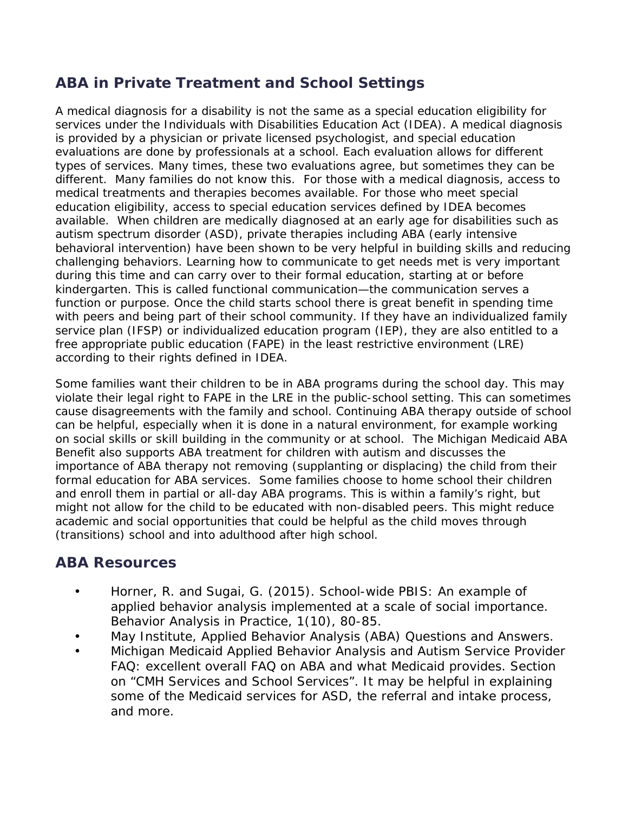## **ABA in Private Treatment and School Settings**

A medical diagnosis for a disability is not the same as a special education eligibility for services under the Individuals with Disabilities Education Act (IDEA). A medical diagnosis is provided by a physician or private licensed psychologist, and special education evaluations are done by professionals at a school. Each evaluation allows for different types of services. Many times, these two evaluations agree, but sometimes they can be different. Many families do not know this. For those with a medical diagnosis, access to medical treatments and therapies becomes available. For those who meet special education eligibility, access to special education services defined by IDEA becomes available. When children are medically diagnosed at an early age for disabilities such as autism spectrum disorder (ASD), private therapies including ABA (early intensive behavioral intervention) have been shown to be very helpful in building skills and reducing challenging behaviors. Learning how to communicate to get needs met is very important during this time and can carry over to their formal education, starting at or before kindergarten. This is called functional communication—the communication serves a function or purpose. Once the child starts school there is great benefit in spending time with peers and being part of their school community. If they have an individualized family service plan (IFSP) or individualized education program (IEP), they are also entitled to a free appropriate public education (FAPE) in the least restrictive environment (LRE) according to their rights defined in IDEA.

Some families want their children to be in ABA programs during the school day. This may violate their legal right to FAPE in the LRE in the public-school setting. This can sometimes cause disagreements with the family and school. Continuing ABA therapy outside of school can be helpful, especially when it is done in a natural environment, for example working on social skills or skill building in the community or at school. The Michigan Medicaid ABA Benefit also supports ABA treatment for children with autism and discusses the importance of ABA therapy not removing (supplanting or displacing) the child from their formal education for ABA services. Some families choose to home school their children and enroll them in partial or all-day ABA programs. This is within a family's right, but might not allow for the child to be educated with non-disabled peers. This might reduce academic and social opportunities that could be helpful as the child moves through (transitions) school and into adulthood after high school.

### **ABA Resources**

- Horner, R. and Sugai, G. (2015). School-wide PBIS: An example of applied behavior analysis implemented at a scale of social importance. Behavior Analysis in Practice, 1(10), 80-85.
- May Institute, Applied Behavior Analysis (ABA) Questions and Answers.
- Michigan Medicaid Applied Behavior Analysis and Autism Service Provider FAQ: excellent overall FAQ on ABA and what Medicaid provides. Section on "CMH Services and School Services". It may be helpful in explaining some of the Medicaid services for ASD, the referral and intake process, and more.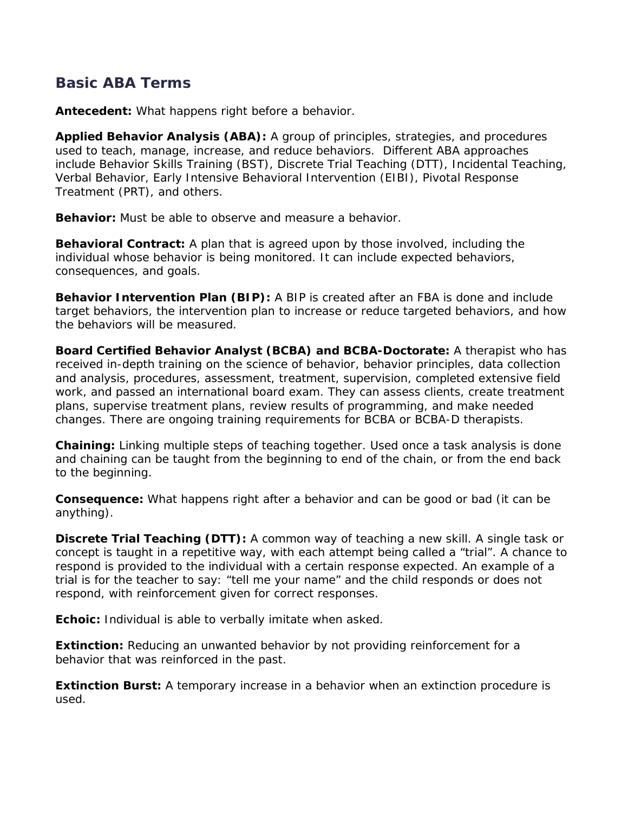### **Basic ABA Terms**

**Antecedent:** What happens right before a behavior.

**Applied Behavior Analysis (ABA):** A group of principles, strategies, and procedures used to teach, manage, increase, and reduce behaviors. Different ABA approaches include Behavior Skills Training (BST), Discrete Trial Teaching (DTT), Incidental Teaching, Verbal Behavior, Early Intensive Behavioral Intervention (EIBI), Pivotal Response Treatment (PRT), and others.

**Behavior:** Must be able to observe and measure a behavior.

**Behavioral Contract:** A plan that is agreed upon by those involved, including the individual whose behavior is being monitored. It can include expected behaviors, consequences, and goals.

**Behavior Intervention Plan (BIP):** A BIP is created after an FBA is done and include target behaviors, the intervention plan to increase or reduce targeted behaviors, and how the behaviors will be measured.

**Board Certified Behavior Analyst (BCBA) and BCBA-Doctorate:** A therapist who has received in-depth training on the science of behavior, behavior principles, data collection and analysis, procedures, assessment, treatment, supervision, completed extensive field work, and passed an international board exam. They can assess clients, create treatment plans, supervise treatment plans, review results of programming, and make needed changes. There are ongoing training requirements for BCBA or BCBA-D therapists.

**Chaining:** Linking multiple steps of teaching together. Used once a task analysis is done and chaining can be taught from the beginning to end of the chain, or from the end back to the beginning.

**Consequence:** What happens right after a behavior and can be good or bad (it can be anything).

**Discrete Trial Teaching (DTT):** A common way of teaching a new skill. A single task or concept is taught in a repetitive way, with each attempt being called a "trial". A chance to respond is provided to the individual with a certain response expected. An example of a trial is for the teacher to say: "tell me your name" and the child responds or does not respond, with reinforcement given for correct responses.

**Echoic:** Individual is able to verbally imitate when asked.

**Extinction:** Reducing an unwanted behavior by not providing reinforcement for a behavior that was reinforced in the past.

**Extinction Burst:** A temporary increase in a behavior when an extinction procedure is used.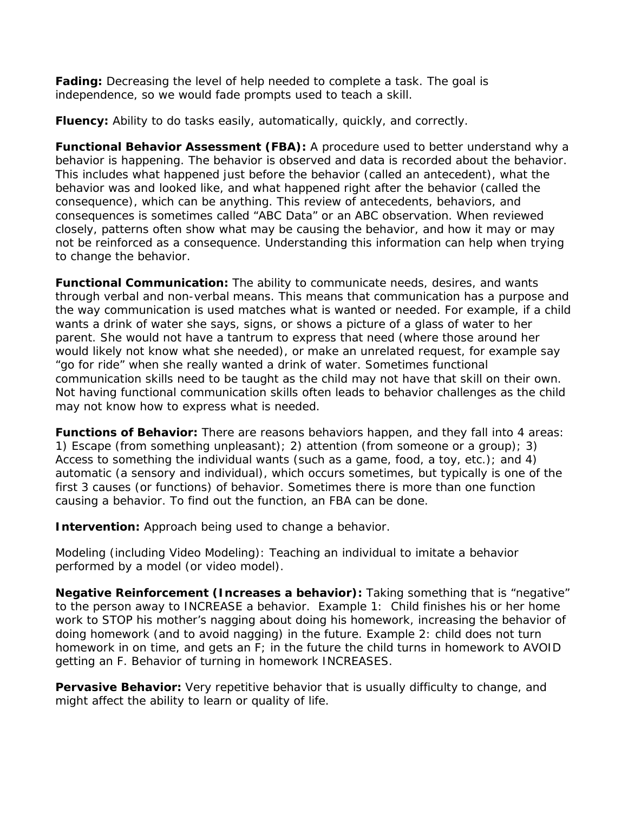**Fading:** Decreasing the level of help needed to complete a task. The goal is independence, so we would fade prompts used to teach a skill.

**Fluency:** Ability to do tasks easily, automatically, quickly, and correctly.

**Functional Behavior Assessment (FBA):** A procedure used to better understand why a behavior is happening. The behavior is observed and data is recorded about the behavior. This includes what happened just before the behavior (called an antecedent), what the behavior was and looked like, and what happened right after the behavior (called the consequence), which can be anything. This review of antecedents, behaviors, and consequences is sometimes called "ABC Data" or an ABC observation. When reviewed closely, patterns often show what may be causing the behavior, and how it may or may not be reinforced as a consequence. Understanding this information can help when trying to change the behavior.

**Functional Communication:** The ability to communicate needs, desires, and wants through verbal and non-verbal means. This means that communication has a purpose and the way communication is used matches what is wanted or needed. For example, if a child wants a drink of water she says, signs, or shows a picture of a glass of water to her parent. She would not have a tantrum to express that need (where those around her would likely not know what she needed), or make an unrelated request, for example say "go for ride" when she really wanted a drink of water. Sometimes functional communication skills need to be taught as the child may not have that skill on their own. Not having functional communication skills often leads to behavior challenges as the child may not know how to express what is needed.

**Functions of Behavior:** There are reasons behaviors happen, and they fall into 4 areas: 1) Escape (from something unpleasant); 2) attention (from someone or a group); 3) Access to something the individual wants (such as a game, food, a toy, etc.); and 4) automatic (a sensory and individual), which occurs sometimes, but typically is one of the first 3 causes (or functions) of behavior. Sometimes there is more than one function causing a behavior. To find out the function, an FBA can be done.

**Intervention:** Approach being used to change a behavior.

Modeling (including Video Modeling): Teaching an individual to imitate a behavior performed by a model (or video model).

**Negative Reinforcement (Increases a behavior):** Taking something that is "negative" to the person away to INCREASE a behavior. Example 1: Child finishes his or her home work to STOP his mother's nagging about doing his homework, increasing the behavior of doing homework (and to avoid nagging) in the future. Example 2: child does not turn homework in on time, and gets an F; in the future the child turns in homework to AVOID getting an F. Behavior of turning in homework INCREASES.

**Pervasive Behavior:** Very repetitive behavior that is usually difficulty to change, and might affect the ability to learn or quality of life.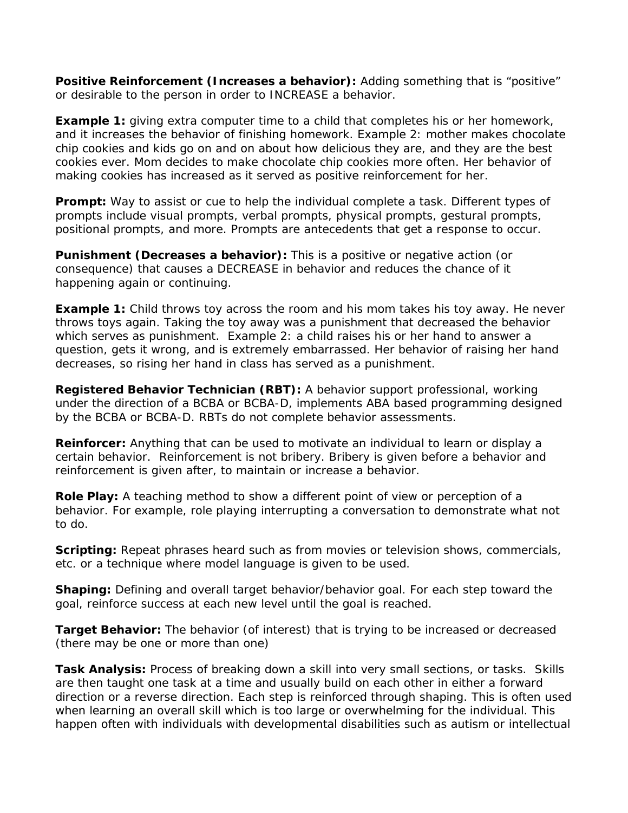**Positive Reinforcement (Increases a behavior):** Adding something that is "positive" or desirable to the person in order to INCREASE a behavior.

**Example 1:** giving extra computer time to a child that completes his or her homework, and it increases the behavior of finishing homework. Example 2: mother makes chocolate chip cookies and kids go on and on about how delicious they are, and they are the best cookies ever. Mom decides to make chocolate chip cookies more often. Her behavior of making cookies has increased as it served as positive reinforcement for her.

**Prompt:** Way to assist or cue to help the individual complete a task. Different types of prompts include visual prompts, verbal prompts, physical prompts, gestural prompts, positional prompts, and more. Prompts are antecedents that get a response to occur.

**Punishment (Decreases a behavior):** This is a positive or negative action (or consequence) that causes a DECREASE in behavior and reduces the chance of it happening again or continuing.

*Example 1:* Child throws toy across the room and his mom takes his toy away. He never throws toys again. Taking the toy away was a punishment that decreased the behavior which serves as punishment. Example 2: a child raises his or her hand to answer a question, gets it wrong, and is extremely embarrassed. Her behavior of raising her hand decreases, so rising her hand in class has served as a punishment.

**Registered Behavior Technician (RBT):** A behavior support professional, working under the direction of a BCBA or BCBA-D, implements ABA based programming designed by the BCBA or BCBA-D. RBTs do not complete behavior assessments.

**Reinforcer:** Anything that can be used to motivate an individual to learn or display a certain behavior. Reinforcement is not bribery. Bribery is given before a behavior and reinforcement is given after, to maintain or increase a behavior.

**Role Play:** A teaching method to show a different point of view or perception of a behavior. For example, role playing interrupting a conversation to demonstrate what not to do.

**Scripting:** Repeat phrases heard such as from movies or television shows, commercials, etc. or a technique where model language is given to be used.

**Shaping:** Defining and overall target behavior/behavior goal. For each step toward the goal, reinforce success at each new level until the goal is reached.

**Target Behavior:** The behavior (of interest) that is trying to be increased or decreased (there may be one or more than one)

**Task Analysis:** Process of breaking down a skill into very small sections, or tasks. Skills are then taught one task at a time and usually build on each other in either a forward direction or a reverse direction. Each step is reinforced through shaping. This is often used when learning an overall skill which is too large or overwhelming for the individual. This happen often with individuals with developmental disabilities such as autism or intellectual